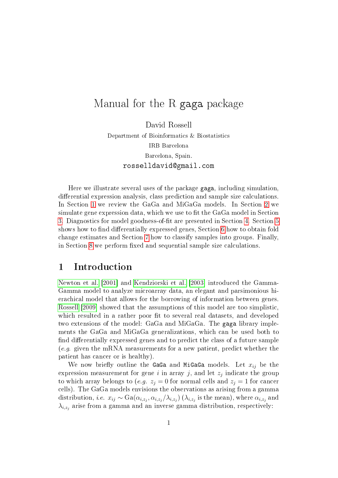# Manual for the R gaga package

David Rossell Department of Bioinformatics & Biostatistics IRB Barcelona Barcelona, Spain. rosselldavid@gmail.com

Here we illustrate several uses of the package gaga, including simulation, differential expression analysis, class prediction and sample size calculations. In Section [1](#page-0-0) we review the GaGa and MiGaGa models. In Section [2](#page-1-0) we simulate gene expression data, which we use to fit the GaGa model in Section [3.](#page-4-0) Diagnostics for model goodness-of-fit are presented in Section [4.](#page-8-0) Section [5](#page-9-0) shows how to find differentially expressed genes, Section [6](#page-12-0) how to obtain fold change estimates and Section [7](#page-13-0) how to classify samples into groups. Finally, in Section [8](#page-14-0) we perform fixed and sequential sample size calculations.

#### <span id="page-0-0"></span>1 Introduction

[Newton et al.](#page-19-0) [\[2001\]](#page-19-0) and [Kendziorski et al.](#page-18-0) [\[2003\]](#page-18-0) introduced the Gamma-Gamma model to analyze microarray data, an elegant and parsimonious hierachical model that allows for the borrowing of information between genes. [Rossell](#page-19-1) [\[2009\]](#page-19-1) showed that the assumptions of this model are too simplistic, which resulted in a rather poor fit to several real datasets, and developed two extensions of the model: GaGa and MiGaGa. The gaga library implements the GaGa and MiGaGa generalizations, which can be used both to find differentially expressed genes and to predict the class of a future sample (e.g. given the mRNA measurements for a new patient, predict whether the patient has cancer or is healthy).

We now briefly outline the GaGa and MiGaGa models. Let  $x_{ij}$  be the expression measurement for gene  $i$  in array  $j$ , and let  $z_j$  indicate the group to which array belongs to (e.g.  $z_i = 0$  for normal cells and  $z_i = 1$  for cancer cells). The GaGa models envisions the observations as arising from a gamma distribution, *i.e.*  $x_{ij} \sim \text{Ga}(\alpha_{i,z_j}, \alpha_{i,z_j}/\lambda_{i,z_j})$   $(\lambda_{i,z_j}$  is the mean), where  $\alpha_{i,z_j}$  and  $\lambda_{i,z_j}$  arise from a gamma and an inverse gamma distribution, respectively: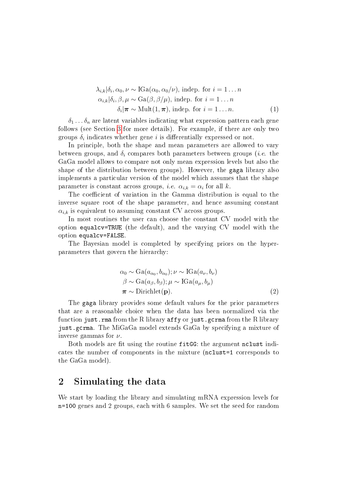$$
\lambda_{i,k}|\delta_i, \alpha_0, \nu \sim \text{IGa}(\alpha_0, \alpha_0/\nu), \text{ indep. for } i = 1 \dots n
$$
  
\n
$$
\alpha_{i,k}|\delta_i, \beta, \mu \sim \text{Ga}(\beta, \beta/\mu), \text{ indep. for } i = 1 \dots n
$$
  
\n
$$
\delta_i|\pi \sim \text{Mult}(1, \pi), \text{ indep. for } i = 1 \dots n.
$$
 (1)

 $\delta_1 \ldots \delta_n$  are latent variables indicating what expression pattern each gene follows (see Section [3](#page-4-0) for more details). For example, if there are only two groups  $\delta_i$  indicates whether gene  $i$  is differentially expressed or not.

In principle, both the shape and mean parameters are allowed to vary between groups, and  $\delta_i$  compares both parameters between groups (*i.e.* the GaGa model allows to compare not only mean expression levels but also the shape of the distribution between groups). However, the gaga library also implements a particular version of the model which assumes that the shape parameter is constant across groups, *i.e.*  $\alpha_{i,k} = \alpha_i$  for all k.

The coefficient of variation in the Gamma distribution is equal to the inverse square root of the shape parameter, and hence assuming constant  $\alpha_{i,k}$  is equivalent to assuming constant CV across groups.

In most routines the user can choose the constant CV model with the option equalcv=TRUE (the default), and the varying CV model with the option equalcv=FALSE.

The Bayesian model is completed by specifying priors on the hyperparameters that govern the hierarchy:

$$
\alpha_0 \sim \text{Ga}(a_{\alpha_0}, b_{\alpha_0}); \nu \sim \text{IGa}(a_{\nu}, b_{\nu})
$$
  
\n
$$
\beta \sim \text{Ga}(a_{\beta}, b_{\beta}); \mu \sim \text{IGa}(a_{\mu}, b_{\mu})
$$
  
\n
$$
\pi \sim \text{Dirichlet}(\mathbf{p}).
$$
\n(2)

The gaga library provides some default values for the prior parameters that are a reasonable choice when the data has been normalized via the function just.rma from the R library  $affy$  or just.gcrma from the R library just.gcrma. The MiGaGa model extends GaGa by specifying a mixture of inverse gammas for  $\nu$ .

Both models are fit using the routine fitGG: the argument nclust indicates the number of components in the mixture (nclust=1 corresponds to the GaGa model).

#### <span id="page-1-0"></span>2 Simulating the data

We start by loading the library and simulating mRNA expression levels for n=100 genes and 2 groups, each with 6 samples. We set the seed for random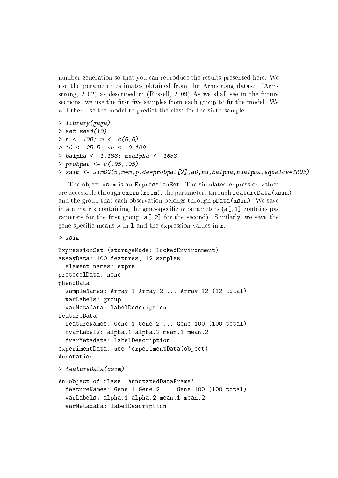number generation so that you can reproduce the results presented here. We use the parameter estimates obtained from the Armstrong dataset (Armstrong, 2002) as described in (Rossell, 2009) As we shall see in the future sections, we use the first five samples from each group to fit the model. We will then use the model to predict the class for the sixth sample.

```
> library(gaga)
> set.seed(10)
> n <- 100; m <- c(6, 6)> a0 < -25.5; nu < -0.109> balpha <- 1.183; nualpha <- 1683
> probpat <- c(.95,.05)> xsim <- simGG(n,m=m,p.de=probpat[2],a0,nu,balpha,nualpha,equalcv=TRUE)
```
The object xsim is an ExpressionSet. The simulated expression values are accessible through exprs(xsim), the parameters through featureData(xsim) and the group that each observation belongs through pData(xsim). We save in a a matrix containing the gene-specific  $\alpha$  parameters (a[,1] contains parameters for the first group,  $a[,2]$  for the second). Similarly, we save the gene-specific means  $\lambda$  in 1 and the expression values in x.

```
> xsim
```

```
ExpressionSet (storageMode: lockedEnvironment)
assayData: 100 features, 12 samples
  element names: exprs
protocolData: none
phenoData
  sampleNames: Array 1 Array 2 ... Array 12 (12 total)
  varLabels: group
  varMetadata: labelDescription
featureData
  featureNames: Gene 1 Gene 2 ... Gene 100 (100 total)
  fvarLabels: alpha.1 alpha.2 mean.1 mean.2
  fvarMetadata: labelDescription
experimentData: use 'experimentData(object)'
Annotation:
> featureData(xsim)
An object of class 'AnnotatedDataFrame'
  featureNames: Gene 1 Gene 2 ... Gene 100 (100 total)
  varLabels: alpha.1 alpha.2 mean.1 mean.2
  varMetadata: labelDescription
```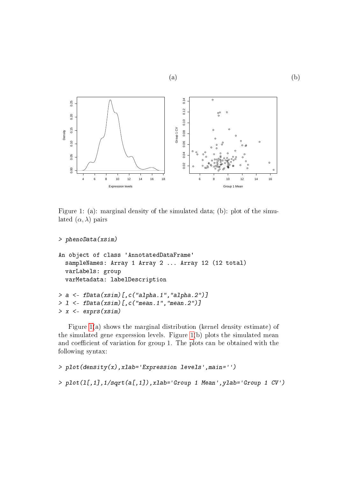

 $(a)$  (b)

<span id="page-3-0"></span>Figure 1: (a): marginal density of the simulated data; (b): plot of the simulated  $(\alpha, \lambda)$  pairs

```
> phenoData(xsim)
```

```
An object of class 'AnnotatedDataFrame'
  sampleNames: Array 1 Array 2 ... Array 12 (12 total)
  varLabels: group
  varMetadata: labelDescription
> a \leq fData(xsim)[c('alpha.1" , 'alpha.2")> l <- fData(xsim)[,c("mean.1","mean.2")]
> x <- exprs(xsim)
```
Figure [1\(](#page-3-0)a) shows the marginal distribution (kernel density estimate) of the simulated gene expression levels. Figure [1\(](#page-3-0)b) plots the simulated mean and coefficient of variation for group 1. The plots can be obtained with the following syntax:

```
> plot(density(x),xlab='Expression levels',main='')
> plot(l[,1],1/sqrt(a[,1]),xlab='Group 1 Mean',ylab='Group 1 CV')
```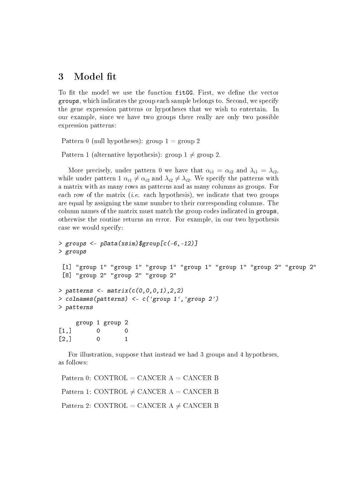### <span id="page-4-0"></span>3 Model fit

To fit the model we use the function fitGG. First, we define the vector groups, which indicates the group each sample belongs to. Second, we specify the gene expression patterns or hypotheses that we wish to entertain. In our example, since we have two groups there really are only two possible expression patterns:

Pattern 0 (null hypotheses): group  $1 =$  group 2

Pattern 1 (alternative hypothesis): group  $1 \neq$  group 2.

More precisely, under pattern 0 we have that  $\alpha_{i1} = \alpha_{i2}$  and  $\lambda_{i1} = \lambda_{i2}$ , while under pattern 1  $\alpha_{i1} \neq \alpha_{i2}$  and  $\lambda_{i2} \neq \lambda_{i2}$ . We specify the patterns with a matrix with as many rows as patterns and as many columns as groups. For each row of the matrix (*i.e.* each hypothesis), we indicate that two groups are equal by assigning the same number to their corresponding columns. The column names of the matrix must match the group codes indicated in groups, otherwise the routine returns an error. For example, in our two hypothesis case we would specify:

```
> groups <- pData(xsim)$group[c(-6,-12)]
> groups
 [1] "group 1" "group 1" "group 1" "group 1" "group 1" "group 2" "group 2"
 [8] "group 2" "group 2" "group 2"
> patterns <- matrix(c(0,0,0,1), 2, 2)
> colnames(patterns) <- c('group 1','group 2')
> patterns
     group 1 group 2
[1,] 0 0
\begin{bmatrix} 2,1 & 0 & 1 \end{bmatrix}
```
For illustration, suppose that instead we had 3 groups and 4 hypotheses, as follows:

Pattern 0: CONTROL = CANCER  $A =$  CANCER B Pattern 1: CONTROL  $\neq$  CANCER A = CANCER B Pattern 2: CONTROL = CANCER A  $\neq$  CANCER B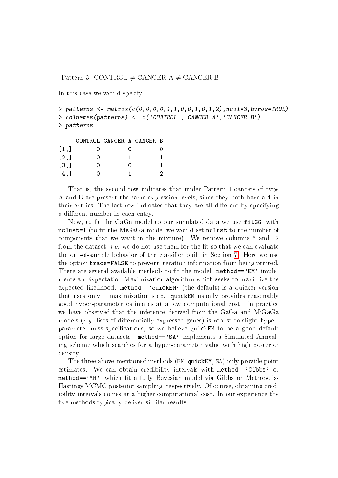Pattern 3: CONTROL  $\neq$  CANCER A  $\neq$  CANCER B

In this case we would specify

```
> patterns <- matrix(c(0,0,0,0,1,1,0,0,1,0,1,2), ncol=3, byrow=TRUE)
> colnames(patterns) <- c('CONTROL','CANCER A','CANCER B')
> patterns
```

|      | CONTROL CANCER A CANCER B |   |    |
|------|---------------------------|---|----|
| [1,] |                           |   |    |
| [2,] | 0                         |   | 1. |
| [3,] | 0                         | 0 |    |
| [4,] |                           |   | 2  |

That is, the second row indicates that under Pattern 1 cancers of type A and B are present the same expression levels, since they both have a 1 in their entries. The last row indicates that they are all different by specifying a different number in each entry.

Now, to fit the GaGa model to our simulated data we use fitGG, with nclust=1 (to fit the MiGaGa model we would set nclust to the number of components that we want in the mixture). We remove columns 6 and 12 from the dataset, *i.e.* we do not use them for the fit so that we can evaluate the out-of-sample behavior of the classifier built in Section [7.](#page-13-0) Here we use the option trace=FALSE to prevent iteration information from being printed. There are several available methods to fit the model. method== $\text{?EM'}$  implements an Expectation-Maximization algorithm which seeks to maximize the expected likelihood. method=='quickEM' (the default) is a quicker version that uses only 1 maximization step. quickEM usually provides reasonably good hyper-parameter estimates at a low computational cost. In practice we have observed that the inference derived from the GaGa and MiGaGa models (e.g. lists of differentially expressed genes) is robust to slight hyperparameter miss-specifications, so we believe quickEM to be a good default option for large datasets. method=='SA' implements a Simulated Annealing scheme which searches for a hyper-parameter value with high posterior density.

The three above-mentioned methods (EM, quickEM, SA) only provide point estimates. We can obtain credibility intervals with method=='Gibbs' or method=='MH', which fit a fully Bayesian model via Gibbs or Metropolis-Hastings MCMC posterior sampling, respectively. Of course, obtaining credibility intervals comes at a higher computational cost. In our experience the five methods typically deliver similar results.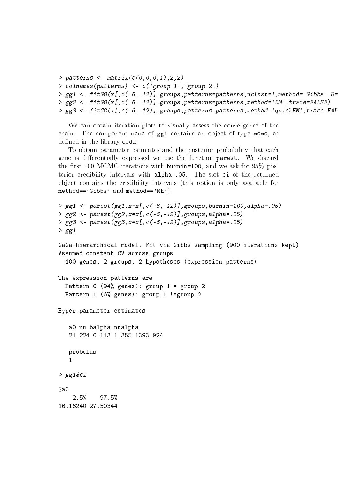```
> patterns <- matrix(c(0,0,0,1),2,2)
> colnames(patterns) <- c('group 1','group 2')
> gg1 <- fitGG(x[,c(-6,-12)],groups,patterns=patterns,nclust=1,method='Gibbs',B=
> gg2 <- fitGG(x[,c(-6,-12)],groups,patterns=patterns,method='EM',trace=FALSE)
> gg3 <- fitGG(x[,c(-6,-12)],groups,patterns=patterns,method='quickEM',trace=FAL
```
We can obtain iteration plots to visually assess the convergence of the chain. The component mcmc of gg1 contains an object of type mcmc, as defined in the library coda.

To obtain parameter estimates and the posterior probability that each gene is differentially expressed we use the function parest. We discard the first 100 MCMC iterations with burnin=100, and we ask for  $95\%$  posterior credibility intervals with alpha=.05. The slot ci of the returned object contains the credibility intervals (this option is only available for method=='Gibbs' and method=='MH').

```
> gg1 <- parest(gg1,x=x[,c(-6,-12)],groups,burnin=100,alpha=.05)
> gg2 <- parest(gg2,x=x[,c(-6,-12)],groups,alpha=.05)
> gg3 <- parest(gg3,x=x[,c(-6,-12)],groups,alpha=.05)
> gg1GaGa hierarchical model. Fit via Gibbs sampling (900 iterations kept)
Assumed constant CV across groups
  100 genes, 2 groups, 2 hypotheses (expression patterns)
The expression patterns are
  Pattern 0 (94% genes): group 1 = group 2
 Pattern 1 (6% genes): group 1 !=group 2
Hyper-parameter estimates
   a0 nu balpha nualpha
   21.224 0.113 1.355 1393.924
   probclus
   1
> gg1$ci
$a02.5% 97.5%
16.16240 27.50344
```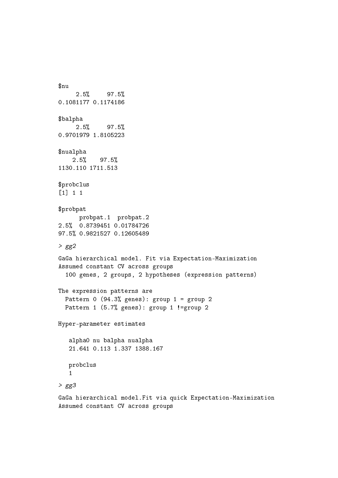\$nu 2.5% 97.5% 0.1081177 0.1174186 \$balpha 2.5% 97.5% 0.9701979 1.8105223 \$nualpha 2.5% 97.5% 1130.110 1711.513 \$probclus [1] 1 1 \$probpat probpat.1 probpat.2 2.5% 0.8739451 0.01784726 97.5% 0.9821527 0.12605489  $> gg2$ GaGa hierarchical model. Fit via Expectation-Maximization Assumed constant CV across groups 100 genes, 2 groups, 2 hypotheses (expression patterns) The expression patterns are Pattern 0  $(94.3%$  genes): group 1 = group 2 Pattern 1 (5.7% genes): group 1 != group 2 Hyper-parameter estimates alpha0 nu balpha nualpha 21.641 0.113 1.337 1388.167 probclus 1  $> gg3$ GaGa hierarchical model.Fit via quick Expectation-Maximization

Assumed constant CV across groups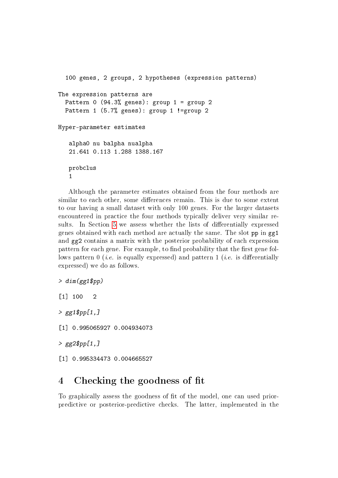```
100 genes, 2 groups, 2 hypotheses (expression patterns)
The expression patterns are
  Pattern 0 (94.3% genes): group 1 = group 2
  Pattern 1 (5.7% genes): group 1 != group 2
Hyper-parameter estimates
   alpha0 nu balpha nualpha
   21.641 0.113 1.288 1388.167
   probclus
   1
```
Although the parameter estimates obtained from the four methods are similar to each other, some differences remain. This is due to some extent to our having a small dataset with only 100 genes. For the larger datasets encountered in practice the four methods typically deliver very similar re-sults. In Section [5](#page-9-0) we assess whether the lists of differentially expressed genes obtained with each method are actually the same. The slot pp in gg1 and gg2 contains a matrix with the posterior probability of each expression pattern for each gene. For example, to find probability that the first gene follows pattern  $0$  (*i.e.* is equally expressed) and pattern  $1$  (*i.e.* is differentially expressed) we do as follows.

```
> dim(gg1\\begin{bmatrix} 11 & 100 & 2 \end{bmatrix}> gg1$pp[1,][1] 0.995065927 0.004934073
> gg2$pp[1,][1] 0.995334473 0.004665527
```
## <span id="page-8-0"></span>4 Checking the goodness of fit

To graphically assess the goodness of fit of the model, one can used priorpredictive or posterior-predictive checks. The latter, implemented in the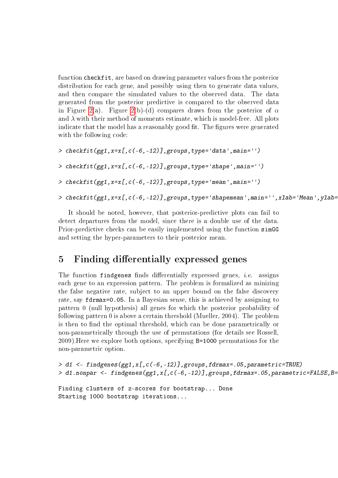function checkfit, are based on drawing parameter values from the posterior distribution for each gene, and possibly using then to generate data values, and then compare the simulated values to the observed data. The data generated from the posterior predictive is compared to the observed data in Figure [2\(](#page-10-0)a). Figure 2(b)-(d) compares draws from the posterior of  $\alpha$ and  $\lambda$  with their method of moments estimate, which is model-free. All plots indicate that the model has a reasonably good fit. The figures were generated with the following code:

```
> checkfit(gg1, x=x[, c(-6, -12)], groups, type='data', main='')
```
>  $checkfit(gg1, x=x[,c(-6, -12)], groups, type='shape', main='')$ 

> checkfit(gg1,x=x[,c(-6,-12)],groups,type='mean',main='')

> checkfit(gg1,x=x[,c(-6,-12)],groups,type='shapemean',main='',xlab='Mean',ylab=

It should be noted, however, that posterior-predictive plots can fail to detect departures from the model, since there is a double use of the data. Prior-predictive checks can be easily implemented using the function simGG and setting the hyper-parameters to their posterior mean.

### <span id="page-9-0"></span>5 Finding differentially expressed genes

The function findgenes finds differentially expressed genes, *i.e.* assigns each gene to an expression pattern. The problem is formalized as minizing the false negative rate, subject to an upper bound on the false discovery rate, say fdrmax=0.05. In a Bayesian sense, this is achieved by assigning to pattern 0 (null hypothesis) all genes for which the posterior probability of following pattern 0 is above a certain threshold (Mueller, 2004). The problem is then to find the optimal threshold, which can be done parametrically or non-parametrically through the use of permutations (for details see Rossell, 2009).Here we explore both options, specifying B=1000 permutations for the non-parametric option.

```
> d1 <- findgenes(gg1,x[,c(-6,-12)],groups,fdrmax=.05,parametric=TRUE)
> d1.nonpar <- findgenes(gg1,x[,c(-6,-12)],groups,fdrmax=.05,parametric=FALSE,B=
```

```
Finding clusters of z-scores for bootstrap... Done
Starting 1000 bootstrap iterations...
```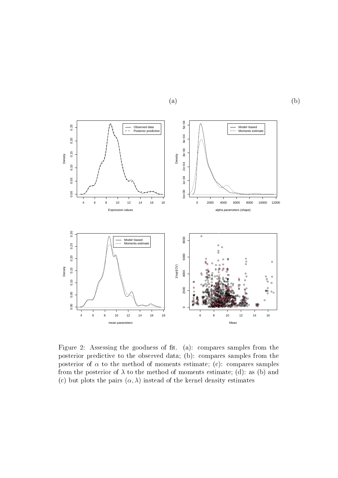

<span id="page-10-0"></span>Figure 2: Assessing the goodness of fit. (a): compares samples from the posterior predictive to the observed data; (b): compares samples from the posterior of  $\alpha$  to the method of moments estimate; (c): compares samples from the posterior of  $\lambda$  to the method of moments estimate; (d): as (b) and (c) but plots the pairs  $(\alpha, \lambda)$  instead of the kernel density estimates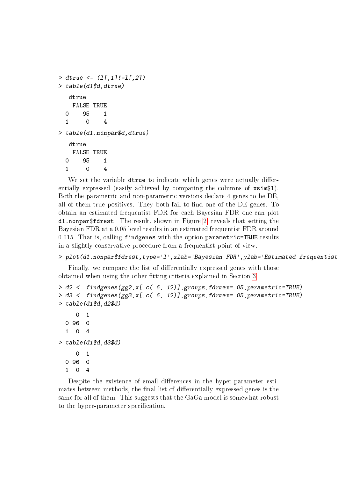```
> dtrue <- (l[,1]!=l[,2])
> table(d1$d,dtrue)
  dtrue
   FALSE TRUE
 0 95 1
 1 0 4
> table(d1.nonpar$d,dtrue)
  dtrue
   FALSE TRUE
 0 95 1
 1 0 4
```
We set the variable dtrue to indicate which genes were actually differentially expressed (easily achieved by comparing the columns of  $x \sin 1$ ). Both the parametric and non-parametric versions declare 4 genes to be DE, all of them true positives. They both fail to find one of the DE genes. To obtain an estimated frequentist FDR for each Bayesian FDR one can plot d1.nonpar\$fdrest. The result, shown in Figure [2,](#page-10-0) reveals that setting the Bayesian FDR at a 0.05 level results in an estimated frequentist FDR around 0.015. That is, calling findgenes with the option parametric=TRUE results in a slightly conservative procedure from a frequentist point of view.

#### > plot(d1.nonpar\$fdrest,type='l',xlab='Bayesian FDR',ylab='Estimated frequentist

Finally, we compare the list of differentially expressed genes with those obtained when using the other fitting criteria explained in Section [3.](#page-4-0)

```
> d2 <- findgenes(gg2,x[,c(-6,-12)],groups,fdrmax=.05,parametric=TRUE)
> d3 <- findgenes(gg3,x[,c(-6,-12)],groups,fdrmax=.05,parametric=TRUE)
> table(d1$d,d2$d)
     0 1
 0 96 0
  1 0 4
> table(d1$d,d3$d)
     0 1
 0 96 0
 1 0 4
```
Despite the existence of small differences in the hyper-parameter estimates between methods, the final list of differentially expressed genes is the same for all of them. This suggests that the GaGa model is somewhat robust to the hyper-parameter specification.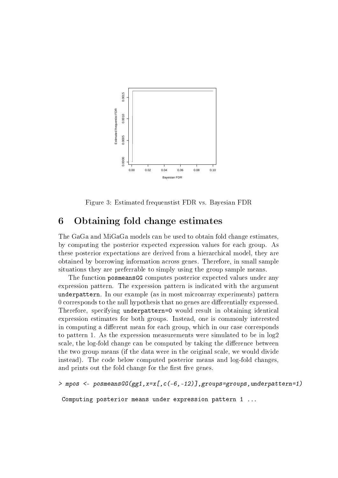

Figure 3: Estimated frequenstist FDR vs. Bayesian FDR

### <span id="page-12-0"></span>6 Obtaining fold change estimates

The GaGa and MiGaGa models can be used to obtain fold change estimates, by computing the posterior expected expression values for each group. As these posterior expectations are derived from a hierarchical model, they are obtained by borrowing information across genes. Therefore, in small sample situations they are preferrable to simply using the group sample means.

The function posmeansGG computes posterior expected values under any expression pattern. The expression pattern is indicated with the argument underpattern. In our example (as in most microarray experiments) pattern 0 corresponds to the null hypothesis that no genes are differentially expressed. Therefore, specifying underpattern=0 would result in obtaining identical expression estimates for both groups. Instead, one is commonly interested in computing a different mean for each group, which in our case corresponds to pattern 1. As the expression measurements were simulated to be in log2 scale, the log-fold change can be computed by taking the difference between the two group means (if the data were in the original scale, we would divide instead). The code below computed posterior means and log-fold changes, and prints out the fold change for the first five genes.

 $>$  mpos  $\leq$  posmeans  $GG(gg1, x=x[, c(-6, -12)],$  groups=groups, underpattern=1)

Computing posterior means under expression pattern 1 ...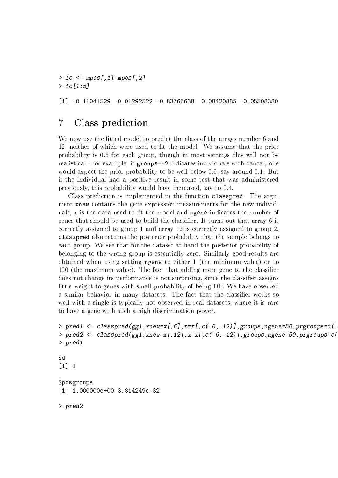$>$  fc  $<-$  mpos[,1]-mpos[,2]  $>$  fc[1:5]

[1] -0.11041529 -0.01292522 -0.83766638 0.08420885 -0.05508380

## <span id="page-13-0"></span>7 Class prediction

We now use the fitted model to predict the class of the arrays number 6 and 12, neither of which were used to fit the model. We assume that the prior probability is 0.5 for each group, though in most settings this will not be realistical. For example, if groups==2 indicates individuals with cancer, one would expect the prior probability to be well below 0.5, say around 0.1. But if the individual had a positive result in some test that was administered previously, this probability would have increased, say to 0.4.

Class prediction is implemented in the function classpred. The argument xnew contains the gene expression measurements for the new individuals, x is the data used to fit the model and ngene indicates the number of genes that should be used to build the classier. It turns out that array 6 is correctly assigned to group 1 and array 12 is correctly assigned to group 2. classpred also returns the posterior probability that the sample belongs to each group. We see that for the dataset at hand the posterior probability of belonging to the wrong group is essentially zero. Similarly good results are obtained when using setting ngene to either 1 (the minimum value) or to 100 (the maximum value). The fact that adding more gene to the classifier does not change its performance is not surprising, since the classifier assigns little weight to genes with small probability of being DE. We have observed a similar behavior in many datasets. The fact that the classifier works so well with a single is typically not observed in real datasets, where it is rare to have a gene with such a high discrimination power.

```
> pred1 \leq closed (gg1,xnew=x[,6],x=x[,c(-6,-12)],groups,ngene=50,prgroups=c(.
> pred2 <- classpred(gg1,xnew=x[,12],x=x[,c(-6,-12)],groups,ngene=50,prgroups=c(
> pred1
```
#### \$d  $\lceil 1 \rceil$  1

\$posgroups [1] 1.000000e+00 3.814249e-32

> pred2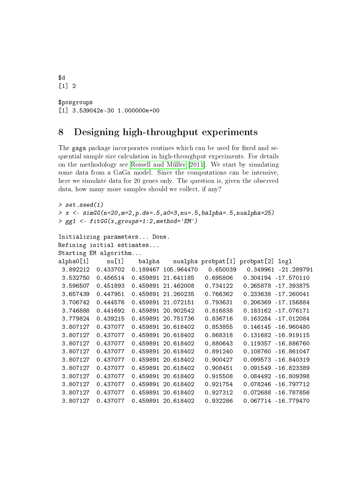```
$d
\lceil 1 \rceil 2
$posgroups
[1] 3.539042e-30 1.000000e+00
```
## <span id="page-14-0"></span>8 Designing high-throughput experiments

The gaga package incorporates routines which can be used for fixed and sequential sample size calculation in high-throughput experiments. For details on the methodology see [Rossell and Müller](#page-19-2) [\[2011\]](#page-19-2). We start by simulating some data from a GaGa model. Since the computations can be intensive, here we simulate data for 20 genes only. The question is, given the observed data, how many more samples should we collect, if any?

```
> set.seed(1)
> x < -s imGG(n=20, m=2, p.de=.5, a0=3, nu=.5, balpha=.5, nualpha=25)
> gg1 \leq-fitGG(x, groups=1:2, method='EM')Initializing parameters... Done.
Refining initial estimates...
Starting EM algorithm...
alpha0[1] nu[1] balpha nualpha probpat[1] probpat[2] logl
 3.892212 0.433702 0.189467 105.964470 0.650039 0.349961 -21.289791
 3.532750 0.456514 0.459891 21.641185 0.695806 0.304194 -17.570110
 3.596507 0.451893 0.459891 21.462008 0.734122 0.265878 -17.393875
 3.657439 0.447951 0.459891 21.260235 0.766362 0.233638 -17.260041
 3.706742 0.444576 0.459891 21.072151 0.793631 0.206369 -17.156884
 3.746888 0.441692 0.459891 20.902542 0.816838 0.183162 -17.076171
 3.779824 0.439215 0.459891 20.751736 0.836716 0.163284 -17.012084
 3.807127 0.437077 0.459891 20.618402 0.853855 0.146145 -16.960480
 3.807127 0.437077 0.459891 20.618402 0.868318 0.131682 -16.919115
 3.807127 0.437077 0.459891 20.618402 0.880643 0.119357 -16.886760
 3.807127 0.437077 0.459891 20.618402 0.891240 0.108760 -16.861047
 3.807127 0.437077 0.459891 20.618402 0.900427 0.099573 -16.840319
 3.807127 0.437077 0.459891 20.618402 0.908451 0.091549 -16.823389
 3.807127 0.437077 0.459891 20.618402 0.915508 0.084492 -16.809398
 3.807127 0.437077 0.459891 20.618402 0.921754 0.078246 -16.797712
 3.807127 0.437077 0.459891 20.618402 0.927312 0.072688 -16.787856
 3.807127 0.437077 0.459891 20.618402 0.932286 0.067714 -16.779470
```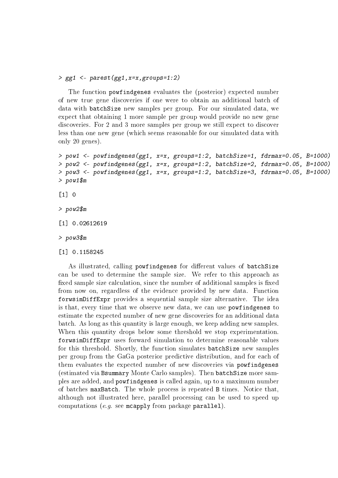#### > gg1 <- parest(gg1,x=x,groups=1:2)

The function powfindgenes evaluates the (posterior) expected number of new true gene discoveries if one were to obtain an additional batch of data with batchSize new samples per group. For our simulated data, we expect that obtaining 1 more sample per group would provide no new gene discoveries. For 2 and 3 more samples per group we still expect to discover less than one new gene (which seems reasonable for our simulated data with only 20 genes).

```
> pow1 <- powfindgenes(gg1, x=x, groups=1:2, batchSize=1, fdrmax=0.05, B=1000)
> pow2 <- powfindgenes(gg1, x=x, groups=1:2, batchSize=2, fdrmax=0.05, B=1000)
> pow3 <- powfindgenes(gg1, x=x, groups=1:2, batchSize=3, fdrmax=0.05, B=1000)
> pow1$m
```
 $[1]$  0

> pow2\$m

[1] 0.02612619

> pow3\$m

[1] 0.1158245

As illustrated, calling powfindgenes for different values of batchSize can be used to determine the sample size. We refer to this approach as fixed sample size calculation, since the number of additional samples is fixed from now on, regardless of the evidence provided by new data. Function forwsimDiffExpr provides a sequential sample size alternative. The idea is that, every time that we observe new data, we can use powfindgenes to estimate the expected number of new gene discoveries for an additional data batch. As long as this quantity is large enough, we keep adding new samples. When this quantity drops below some threshold we stop experimentation. forwsimDiffExpr uses forward simulation to determine reasonable values for this threshold. Shortly, the function simulates batchSize new samples per group from the GaGa posterior predictive distribution, and for each of them evaluates the expected number of new discoveries via powfindgenes (estimated via Bsummary Monte Carlo samples). Then batchSize more samples are added, and powfindgenes is called again, up to a maximum number of batches maxBatch. The whole process is repeated B times. Notice that, although not illustrated here, parallel processing can be used to speed up computations (e.g. see mcapply from package parallel).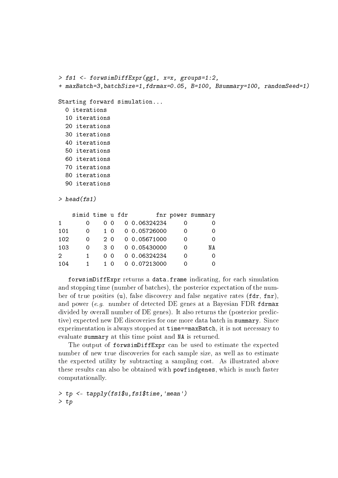```
> fs1 <- forwsimDiffExpr(gg1, x=x, groups=1:2,
+ maxBatch=3,batchSize=1,fdrmax=0.05, B=100, Bsummary=100, randomSeed=1)
Starting forward simulation...
  0 iterations
  10 iterations
  20 iterations
```

```
30 iterations
```
- 40 iterations
- 50 iterations
- 60 iterations
- 70 iterations
- 80 iterations
- 90 iterations

 $>$  head(fs1)

|                             | simid time u fdr |     |       |              | fnr power summary |
|-----------------------------|------------------|-----|-------|--------------|-------------------|
| $\mathbf{1}$                |                  |     | 0 O   | 0 0.06324234 |                   |
| 101                         |                  |     | 10    | 0 0.05726000 |                   |
| 102                         |                  | 20  |       | 0.05671000   |                   |
| 103                         | $\Omega$         | 3 O |       | 0.05430000   | NΑ                |
| $\mathcal{D}_{\mathcal{L}}$ | 1.               |     | n n   | 0 0.06324234 |                   |
| 104                         |                  |     | - ( ) | 0.07213000   |                   |

forwsimDiffExpr returns a data.frame indicating, for each simulation and stopping time (number of batches), the posterior expectation of the number of true posities (u), false discovery and false negative rates (fdr, fnr), and power (e.g. number of detected DE genes at a Bayesian FDR fdrmax divided by overall number of DE genes). It also returns the (posterior predictive) expected new DE discoveries for one more data batch in summary. Since experimentation is always stopped at time==maxBatch, it is not necessary to evaluate summary at this time point and NA is returned.

The output of forwsimDiffExpr can be used to estimate the expected number of new true discoveries for each sample size, as well as to estimate the expected utility by subtracting a sampling cost. As illustrated above these results can also be obtained with powfindgenes, which is much faster computationally.

```
> tp <- tapply(fs1$u,fs1$time,'mean')
> tp
```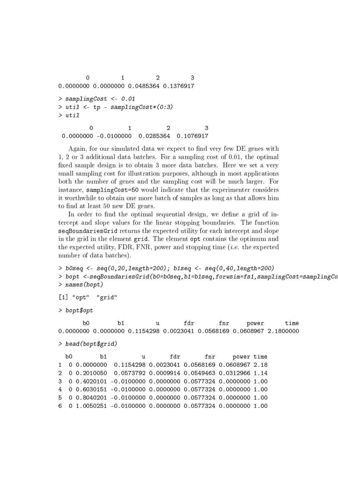```
0 1 2 3
0.0000000 0.0000000 0.0485364 0.1376917
> samplingCost <- 0.01
> util \leq tp - samplingCost*(0:3)
> util
       0 1 2 3
0.0000000 -0.0100000 0.0285364 0.1076917
```
Again, for our simulated data we expect to find very few DE genes with 1, 2 or 3 additional data batches. For a sampling cost of 0.01, the optimal xed sample design is to obtain 3 more data batches. Here we set a very small sampling cost for illustration purposes, although in most applications both the number of genes and the sampling cost will be much larger. For instance, samplingCost=50 would indicate that the experimenter considers it worthwhile to obtain one more batch of samples as long as that allows him to find at least 50 new DE genes.

In order to find the optimal sequential design, we define a grid of intercept and slope values for the linear stopping boundaries. The function seqBoundariesGrid returns the expected utility for each intercept and slope in the grid in the element grid. The element opt contains the optimum and the expected utility, FDR, FNR, power and stopping time  $(i.e.$  the expected number of data batches).

```
> b0seq <- seq(0,20,length=200); b1seq <- seq(0,40,length=200)
> bopt <-seqBoundariesGrid(b0=b0seq,b1=b1seq,forwsim=fs1,samplingCost=samplingCo
> names(bopt)
```

```
[1] "opt" "grid"
```

```
> bopt$opt
```
b0 b1 u fdr fnr power time 0.0000000 0.0000000 0.1154298 0.0023041 0.0568169 0.0608967 2.1800000 > head(bopt\$grid) b0 b1 u fdr fnr power time 1 0 0.0000000 0.1154298 0.0023041 0.0568169 0.0608967 2.18 2 0 0.2010050 0.0573792 0.0009914 0.0549463 0.0312966 1.14 3 0 0.4020101 -0.0100000 0.0000000 0.0577324 0.0000000 1.00 4 0 0.6030151 -0.0100000 0.0000000 0.0577324 0.0000000 1.00 5 0 0.8040201 -0.0100000 0.0000000 0.0577324 0.0000000 1.00 6 0 1.0050251 -0.0100000 0.0000000 0.0577324 0.0000000 1.00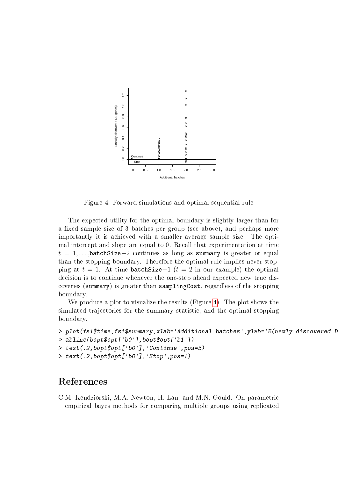

<span id="page-18-1"></span>Figure 4: Forward simulations and optimal sequential rule

The expected utility for the optimal boundary is slightly larger than for a fixed sample size of 3 batches per group (see above), and perhaps more importantly it is achieved with a smaller average sample size. The optimal intercept and slope are equal to 0. Recall that experimentation at time  $t = 1, \ldots, \text{batchSize}-2$  continues as long as summary is greater or equal than the stopping boundary. Therefore the optimal rule implies never stopping at  $t = 1$ . At time batchSize−1 ( $t = 2$  in our example) the optimal decision is to continue whenever the one-step ahead expected new true discoveries (summary) is greater than samplingCost, regardless of the stopping boundary.

We produce a plot to visualize the results (Figure [4\)](#page-18-1). The plot shows the simulated trajectories for the summary statistic, and the optimal stopping boundary.

```
> plot(fs1$time,fs1$summary,xlab='Additional batches',ylab='E(newly discovered D
> abline(bopt$opt['b0'],bopt$opt['b1'])
> text(.2,bopt$opt['b0'],'Continue',pos=3)
> text(.2,bopt$opt['b0'],'Stop',pos=1)
```
## References

<span id="page-18-0"></span>C.M. Kendziorski, M.A. Newton, H. Lan, and M.N. Gould. On parametric empirical bayes methods for comparing multiple groups using replicated